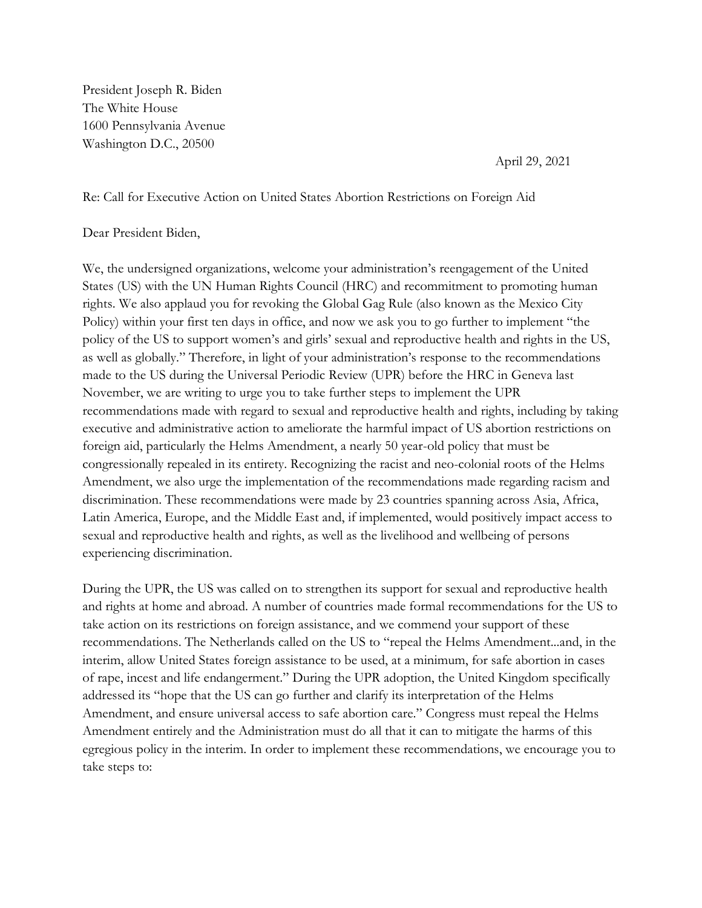President Joseph R. Biden The White House 1600 Pennsylvania Avenue Washington D.C., 20500

April 29, 2021

Re: Call for Executive Action on United States Abortion Restrictions on Foreign Aid

## Dear President Biden,

We, the undersigned organizations, welcome your administration's reengagement of the United States (US) with the UN Human Rights Council (HRC) and recommitment to promoting human rights. We also applaud you for revoking the Global Gag Rule (also known as the Mexico City Policy) within your first ten days in office, and now we ask you to go further to implement "the policy of the US to support women's and girls' sexual and reproductive health and rights in the US, as well as globally." Therefore, in light of your administration's response to the recommendations made to the US during the Universal Periodic Review (UPR) before the HRC in Geneva last November, we are writing to urge you to take further steps to implement the UPR recommendations made with regard to sexual and reproductive health and rights, including by taking executive and administrative action to ameliorate the harmful impact of US abortion restrictions on foreign aid, particularly the Helms Amendment, a nearly 50 year-old policy that must be congressionally repealed in its entirety. Recognizing the racist and neo-colonial roots of the Helms Amendment, we also urge the implementation of the recommendations made regarding racism and discrimination. These recommendations were made by 23 countries spanning across Asia, Africa, Latin America, Europe, and the Middle East and, if implemented, would positively impact access to sexual and reproductive health and rights, as well as the livelihood and wellbeing of persons experiencing discrimination.

During the UPR, the US was called on to strengthen its support for sexual and reproductive health and rights at home and abroad. A number of countries made formal recommendations for the US to take action on its restrictions on foreign assistance, and we commend your support of these recommendations. The Netherlands called on the US to "repeal the Helms Amendment...and, in the interim, allow United States foreign assistance to be used, at a minimum, for safe abortion in cases of rape, incest and life endangerment." During the UPR adoption, the United Kingdom specifically addressed its "hope that the US can go further and clarify its interpretation of the Helms Amendment, and ensure universal access to safe abortion care." Congress must repeal the Helms Amendment entirely and the Administration must do all that it can to mitigate the harms of this egregious policy in the interim. In order to implement these recommendations, we encourage you to take steps to: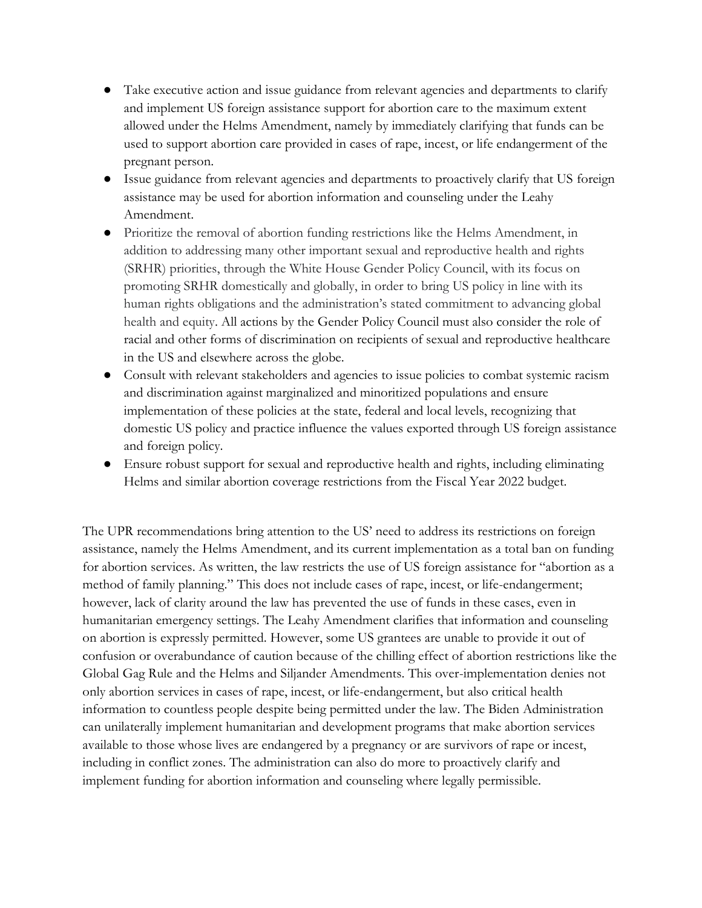- Take executive action and issue guidance from relevant agencies and departments to clarify and implement US foreign assistance support for abortion care to the maximum extent allowed under the Helms Amendment, namely by immediately clarifying that funds can be used to support abortion care provided in cases of rape, incest, or life endangerment of the pregnant person.
- Issue guidance from relevant agencies and departments to proactively clarify that US foreign assistance may be used for abortion information and counseling under the Leahy Amendment.
- Prioritize the removal of abortion funding restrictions like the Helms Amendment, in addition to addressing many other important sexual and reproductive health and rights (SRHR) priorities, through the White House Gender Policy Council, with its focus on promoting SRHR domestically and globally, in order to bring US policy in line with its human rights obligations and the administration's stated commitment to advancing global health and equity. All actions by the Gender Policy Council must also consider the role of racial and other forms of discrimination on recipients of sexual and reproductive healthcare in the US and elsewhere across the globe.
- Consult with relevant stakeholders and agencies to issue policies to combat systemic racism and discrimination against marginalized and minoritized populations and ensure implementation of these policies at the state, federal and local levels, recognizing that domestic US policy and practice influence the values exported through US foreign assistance and foreign policy.
- Ensure robust support for sexual and reproductive health and rights, including eliminating Helms and similar abortion coverage restrictions from the Fiscal Year 2022 budget.

The UPR recommendations bring attention to the US' need to address its restrictions on foreign assistance, namely the Helms Amendment, and its current implementation as a total ban on funding for abortion services. As written, the law restricts the use of US foreign assistance for "abortion as a method of family planning." This does not include cases of rape, incest, or life-endangerment; however, lack of clarity around the law has prevented the use of funds in these cases, even in humanitarian emergency settings. The Leahy Amendment clarifies that information and counseling on abortion is expressly permitted. However, some US grantees are unable to provide it out of confusion or overabundance of caution because of the chilling effect of abortion restrictions like the Global Gag Rule and the Helms and Siljander Amendments. This over-implementation denies not only abortion services in cases of rape, incest, or life-endangerment, but also critical health information to countless people despite being permitted under the law. The Biden Administration can unilaterally implement humanitarian and development programs that make abortion services available to those whose lives are endangered by a pregnancy or are survivors of rape or incest, including in conflict zones. The administration can also do more to proactively clarify and implement funding for abortion information and counseling where legally permissible.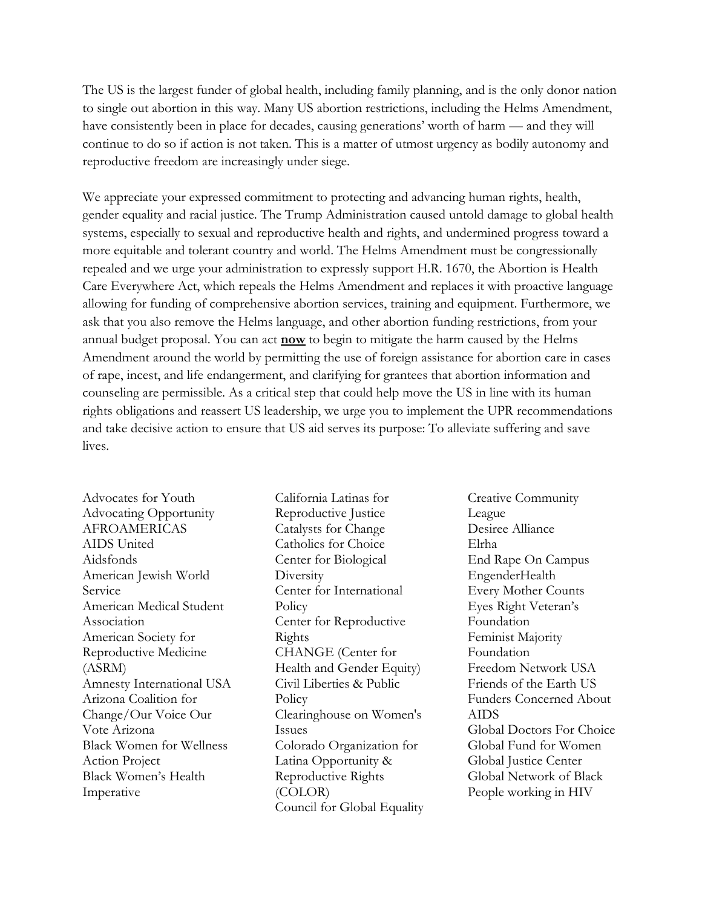The US is the largest funder of global health, including family planning, and is the only donor nation to single out abortion in this way. Many US abortion restrictions, including the Helms Amendment, have consistently been in place for decades, causing generations' worth of harm — and they will continue to do so if action is not taken. This is a matter of utmost urgency as bodily autonomy and reproductive freedom are increasingly under siege.

We appreciate your expressed commitment to protecting and advancing human rights, health, gender equality and racial justice. The Trump Administration caused untold damage to global health systems, especially to sexual and reproductive health and rights, and undermined progress toward a more equitable and tolerant country and world. The Helms Amendment must be congressionally repealed and we urge your administration to expressly support H.R. 1670, the Abortion is Health Care Everywhere Act, which repeals the Helms Amendment and replaces it with proactive language allowing for funding of comprehensive abortion services, training and equipment. Furthermore, we ask that you also remove the Helms language, and other abortion funding restrictions, from your annual budget proposal. You can act **now** to begin to mitigate the harm caused by the Helms Amendment around the world by permitting the use of foreign assistance for abortion care in cases of rape, incest, and life endangerment, and clarifying for grantees that abortion information and counseling are permissible. As a critical step that could help move the US in line with its human rights obligations and reassert US leadership, we urge you to implement the UPR recommendations and take decisive action to ensure that US aid serves its purpose: To alleviate suffering and save lives.

Advocates for Youth Advocating Opportunity AFROAMERICAS AIDS United Aidsfonds American Jewish World Service American Medical Student Association American Society for Reproductive Medicine (ASRM) Amnesty International USA Arizona Coalition for Change/Our Voice Our Vote Arizona Black Women for Wellness Action Project Black Women's Health Imperative

California Latinas for Reproductive Justice Catalysts for Change Catholics for Choice Center for Biological **Diversity** Center for International **Policy** Center for Reproductive Rights CHANGE (Center for Health and Gender Equity) Civil Liberties & Public Policy Clearinghouse on Women's Issues Colorado Organization for Latina Opportunity & Reproductive Rights (COLOR) Council for Global Equality Creative Community League Desiree Alliance Elrha End Rape On Campus EngenderHealth Every Mother Counts Eyes Right Veteran's Foundation Feminist Majority Foundation Freedom Network USA Friends of the Earth US Funders Concerned About AIDS Global Doctors For Choice Global Fund for Women Global Justice Center Global Network of Black People working in HIV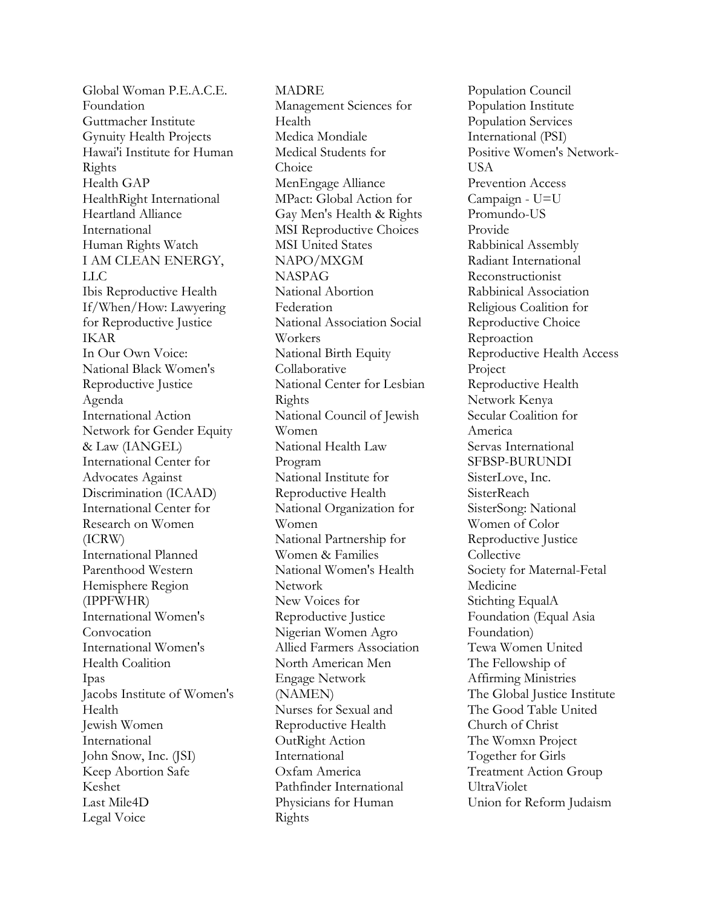Global Woman P.E.A.C.E. Foundation Guttmacher Institute Gynuity Health Projects Hawai'i Institute for Human Rights Health GAP HealthRight International Heartland Alliance International Human Rights Watch I AM CLEAN ENERGY, LLC Ibis Reproductive Health If/When/How: Lawyering for Reproductive Justice IKAR In Our Own Voice: National Black Women's Reproductive Justice Agenda International Action Network for Gender Equity & Law (IANGEL) International Center for Advocates Against Discrimination (ICAAD) International Center for Research on Women (ICRW) International Planned Parenthood Western Hemisphere Region (IPPFWHR) International Women's Convocation International Women's Health Coalition Ipas Jacobs Institute of Women's Health Jewish Women International John Snow, Inc. (JSI) Keep Abortion Safe Keshet Last Mile4D Legal Voice

MADRE Management Sciences for Health Medica Mondiale Medical Students for Choice MenEngage Alliance MPact: Global Action for Gay Men's Health & Rights MSI Reproductive Choices MSI United States NAPO/MXGM NASPAG National Abortion Federation National Association Social Workers National Birth Equity Collaborative National Center for Lesbian Rights National Council of Jewish Women National Health Law Program National Institute for Reproductive Health National Organization for Women National Partnership for Women & Families National Women's Health Network New Voices for Reproductive Justice Nigerian Women Agro Allied Farmers Association North American Men Engage Network (NAMEN) Nurses for Sexual and Reproductive Health OutRight Action International Oxfam America Pathfinder International Physicians for Human Rights

Population Council Population Institute Population Services International (PSI) Positive Women's Network-**USA** Prevention Access Campaign - U=U Promundo-US Provide Rabbinical Assembly Radiant International Reconstructionist Rabbinical Association Religious Coalition for Reproductive Choice Reproaction Reproductive Health Access Project Reproductive Health Network Kenya Secular Coalition for America Servas International SFBSP-BURUNDI SisterLove, Inc. **SisterReach** SisterSong: National Women of Color Reproductive Justice **Collective** Society for Maternal-Fetal Medicine Stichting EqualA Foundation (Equal Asia Foundation) Tewa Women United The Fellowship of Affirming Ministries The Global Justice Institute The Good Table United Church of Christ The Womxn Project Together for Girls Treatment Action Group UltraViolet Union for Reform Judaism